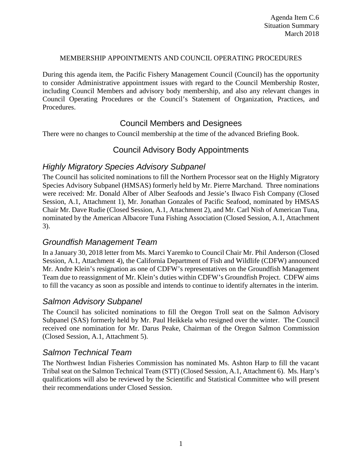#### MEMBERSHIP APPOINTMENTS AND COUNCIL OPERATING PROCEDURES

During this agenda item, the Pacific Fishery Management Council (Council) has the opportunity to consider Administrative appointment issues with regard to the Council Membership Roster, including Council Members and advisory body membership, and also any relevant changes in Council Operating Procedures or the Council's Statement of Organization, Practices, and Procedures.

### Council Members and Designees

There were no changes to Council membership at the time of the advanced Briefing Book.

### Council Advisory Body Appointments

### *Highly Migratory Species Advisory Subpanel*

The Council has solicited nominations to fill the Northern Processor seat on the Highly Migratory Species Advisory Subpanel (HMSAS) formerly held by Mr. Pierre Marchand. Three nominations were received: Mr. Donald Alber of Alber Seafoods and Jessie's Ilwaco Fish Company (Closed Session, A.1, Attachment 1), Mr. Jonathan Gonzales of Pacific Seafood, nominated by HMSAS Chair Mr. Dave Rudie (Closed Session, A.1, Attachment 2), and Mr. Carl Nish of American Tuna, nominated by the American Albacore Tuna Fishing Association (Closed Session, A.1, Attachment 3).

# *Groundfish Management Team*

In a January 30, 2018 letter from Ms. Marci Yaremko to Council Chair Mr. Phil Anderson (Closed Session, A.1, Attachment 4), the California Department of Fish and Wildlife (CDFW) announced Mr. Andre Klein's resignation as one of CDFW's representatives on the Groundfish Management Team due to reassignment of Mr. Klein's duties within CDFW's Groundfish Project. CDFW aims to fill the vacancy as soon as possible and intends to continue to identify alternates in the interim.

### *Salmon Advisory Subpanel*

The Council has solicited nominations to fill the Oregon Troll seat on the Salmon Advisory Subpanel (SAS) formerly held by Mr. Paul Heikkela who resigned over the winter. The Council received one nomination for Mr. Darus Peake, Chairman of the Oregon Salmon Commission (Closed Session, A.1, Attachment 5).

### *Salmon Technical Team*

The Northwest Indian Fisheries Commission has nominated Ms. Ashton Harp to fill the vacant Tribal seat on the Salmon Technical Team (STT) (Closed Session, A.1, Attachment 6). Ms. Harp's qualifications will also be reviewed by the Scientific and Statistical Committee who will present their recommendations under Closed Session.